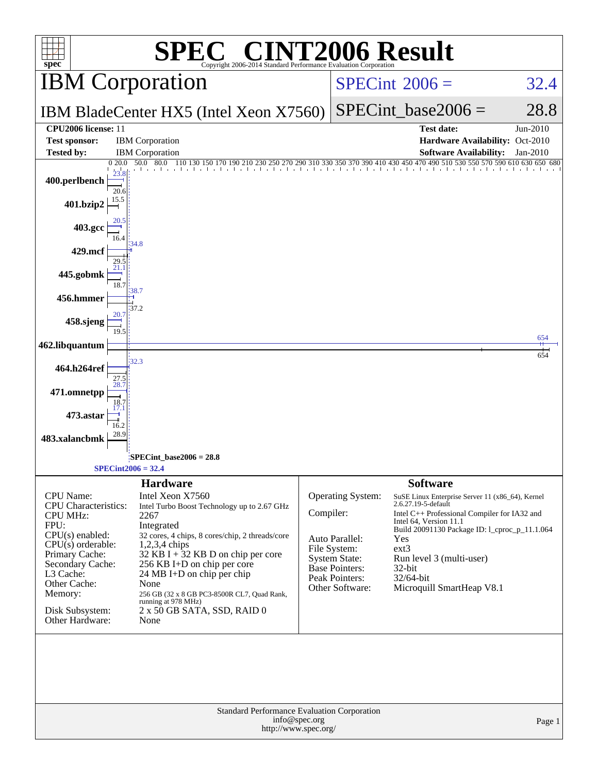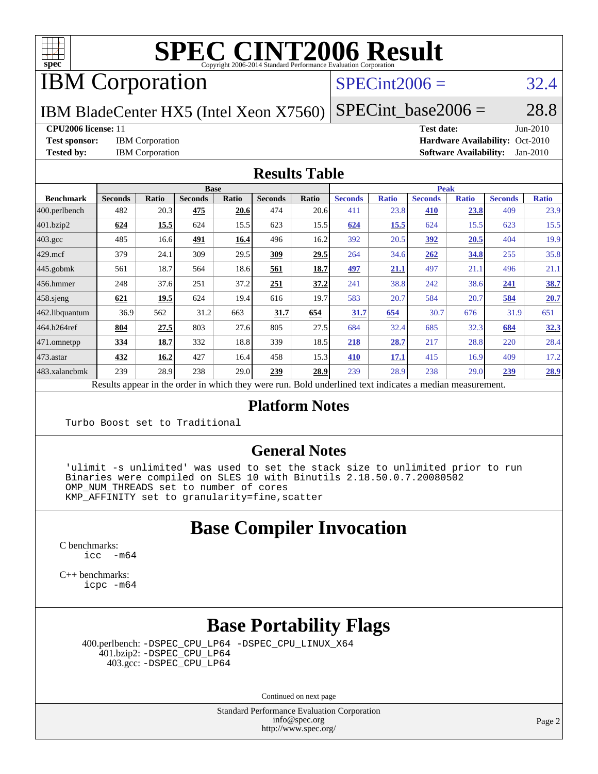

IBM Corporation

#### $SPECint2006 = 32.4$  $SPECint2006 = 32.4$

IBM BladeCenter HX5 (Intel Xeon X7560)

 $SPECTnt\_base2006 = 28.8$ 

#### **[CPU2006 license:](http://www.spec.org/auto/cpu2006/Docs/result-fields.html#CPU2006license)** 11 **[Test date:](http://www.spec.org/auto/cpu2006/Docs/result-fields.html#Testdate)** Jun-2010

**[Test sponsor:](http://www.spec.org/auto/cpu2006/Docs/result-fields.html#Testsponsor)** IBM Corporation **[Hardware Availability:](http://www.spec.org/auto/cpu2006/Docs/result-fields.html#HardwareAvailability)** Oct-2010 **[Tested by:](http://www.spec.org/auto/cpu2006/Docs/result-fields.html#Testedby)** IBM Corporation **[Software Availability:](http://www.spec.org/auto/cpu2006/Docs/result-fields.html#SoftwareAvailability)** Jan-2010

#### **[Results Table](http://www.spec.org/auto/cpu2006/Docs/result-fields.html#ResultsTable)**

|                    | <b>Base</b>                                                                                              |       |                |       |                |       | <b>Peak</b>    |              |                |              |                |              |  |
|--------------------|----------------------------------------------------------------------------------------------------------|-------|----------------|-------|----------------|-------|----------------|--------------|----------------|--------------|----------------|--------------|--|
| <b>Benchmark</b>   | <b>Seconds</b>                                                                                           | Ratio | <b>Seconds</b> | Ratio | <b>Seconds</b> | Ratio | <b>Seconds</b> | <b>Ratio</b> | <b>Seconds</b> | <b>Ratio</b> | <b>Seconds</b> | <b>Ratio</b> |  |
| 400.perlbench      | 482                                                                                                      | 20.3  | 475            | 20.6  | 474            | 20.6  | 411            | 23.8         | 410            | 23.8         | 409            | 23.9         |  |
| 401.bzip2          | 624                                                                                                      | 15.5  | 624            | 15.5  | 623            | 15.5  | 624            | 15.5         | 624            | 15.5         | 623            | 15.5         |  |
| $403.\mathrm{gcc}$ | 485                                                                                                      | 16.6  | 491            | 16.4  | 496            | 16.2  | 392            | 20.5         | 392            | 20.5         | 404            | 19.9         |  |
| $429$ mcf          | 379                                                                                                      | 24.1  | 309            | 29.5  | 309            | 29.5  | 264            | 34.6         | 262            | 34.8         | 255            | 35.8         |  |
| $445$ .gobmk       | 561                                                                                                      | 18.7  | 564            | 18.6  | 561            | 18.7  | <u>497</u>     | 21.1         | 497            | 21.1         | 496            | 21.1         |  |
| $456.$ hmmer       | 248                                                                                                      | 37.6  | 251            | 37.2  | 251            | 37.2  | 241            | 38.8         | 242            | 38.6         | 241            | 38.7         |  |
| $458$ .sjeng       | 621                                                                                                      | 19.5  | 624            | 19.4  | 616            | 19.7  | 583            | 20.7         | 584            | 20.7         | 584            | 20.7         |  |
| 462.libquantum     | 36.9                                                                                                     | 562   | 31.2           | 663   | 31.7           | 654   | 31.7           | 654          | 30.7           | 676          | 31.9           | 651          |  |
| 464.h264ref        | 804                                                                                                      | 27.5  | 803            | 27.6  | 805            | 27.5  | 684            | 32.4         | 685            | 32.3         | 684            | 32.3         |  |
| 471.omnetpp        | 334                                                                                                      | 18.7  | 332            | 18.8  | 339            | 18.5  | 218            | 28.7         | 217            | 28.8         | 220            | 28.4         |  |
| $473$ . astar      | 432                                                                                                      | 16.2  | 427            | 16.4  | 458            | 15.3  | 410            | 17.1         | 415            | 16.9         | 409            | 17.2         |  |
| 483.xalancbmk      | 239                                                                                                      | 28.9  | 238            | 29.0  | 239            | 28.9  | 239            | 28.9         | 238            | 29.0         | 239            | 28.9         |  |
|                    | Results appear in the order in which they were run. Bold underlined text indicates a median measurement. |       |                |       |                |       |                |              |                |              |                |              |  |

#### **[Platform Notes](http://www.spec.org/auto/cpu2006/Docs/result-fields.html#PlatformNotes)**

Turbo Boost set to Traditional

#### **[General Notes](http://www.spec.org/auto/cpu2006/Docs/result-fields.html#GeneralNotes)**

 'ulimit -s unlimited' was used to set the stack size to unlimited prior to run Binaries were compiled on SLES 10 with Binutils 2.18.50.0.7.20080502 OMP NUM THREADS set to number of cores KMP\_AFFINITY set to granularity=fine,scatter

#### **[Base Compiler Invocation](http://www.spec.org/auto/cpu2006/Docs/result-fields.html#BaseCompilerInvocation)**

[C benchmarks](http://www.spec.org/auto/cpu2006/Docs/result-fields.html#Cbenchmarks):  $\text{icc}$  -m64

[C++ benchmarks:](http://www.spec.org/auto/cpu2006/Docs/result-fields.html#CXXbenchmarks) [icpc -m64](http://www.spec.org/cpu2006/results/res2010q3/cpu2006-20100802-12782.flags.html#user_CXXbase_intel_icpc_64bit_fc66a5337ce925472a5c54ad6a0de310)

## **[Base Portability Flags](http://www.spec.org/auto/cpu2006/Docs/result-fields.html#BasePortabilityFlags)**

 400.perlbench: [-DSPEC\\_CPU\\_LP64](http://www.spec.org/cpu2006/results/res2010q3/cpu2006-20100802-12782.flags.html#b400.perlbench_basePORTABILITY_DSPEC_CPU_LP64) [-DSPEC\\_CPU\\_LINUX\\_X64](http://www.spec.org/cpu2006/results/res2010q3/cpu2006-20100802-12782.flags.html#b400.perlbench_baseCPORTABILITY_DSPEC_CPU_LINUX_X64) 401.bzip2: [-DSPEC\\_CPU\\_LP64](http://www.spec.org/cpu2006/results/res2010q3/cpu2006-20100802-12782.flags.html#suite_basePORTABILITY401_bzip2_DSPEC_CPU_LP64) 403.gcc: [-DSPEC\\_CPU\\_LP64](http://www.spec.org/cpu2006/results/res2010q3/cpu2006-20100802-12782.flags.html#suite_basePORTABILITY403_gcc_DSPEC_CPU_LP64)

Continued on next page

Standard Performance Evaluation Corporation [info@spec.org](mailto:info@spec.org) <http://www.spec.org/>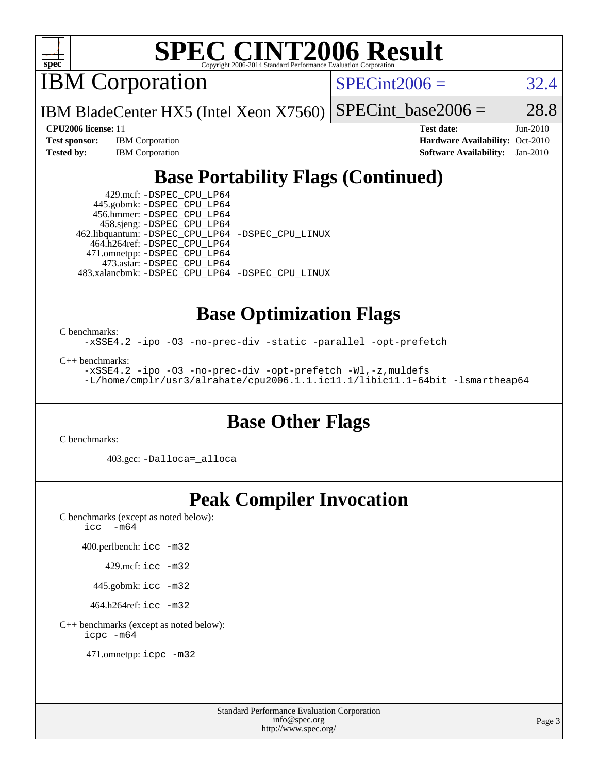

IBM Corporation

 $SPECint2006 = 32.4$  $SPECint2006 = 32.4$ 

IBM BladeCenter HX5 (Intel Xeon X7560) SPECint base2006 =  $28.8$ 

**[Test sponsor:](http://www.spec.org/auto/cpu2006/Docs/result-fields.html#Testsponsor)** IBM Corporation **[Hardware Availability:](http://www.spec.org/auto/cpu2006/Docs/result-fields.html#HardwareAvailability)** Oct-2010

**[CPU2006 license:](http://www.spec.org/auto/cpu2006/Docs/result-fields.html#CPU2006license)** 11 **[Test date:](http://www.spec.org/auto/cpu2006/Docs/result-fields.html#Testdate)** Jun-2010 **[Tested by:](http://www.spec.org/auto/cpu2006/Docs/result-fields.html#Testedby)** IBM Corporation **[Software Availability:](http://www.spec.org/auto/cpu2006/Docs/result-fields.html#SoftwareAvailability)** Jan-2010

## **[Base Portability Flags \(Continued\)](http://www.spec.org/auto/cpu2006/Docs/result-fields.html#BasePortabilityFlags)**

 429.mcf: [-DSPEC\\_CPU\\_LP64](http://www.spec.org/cpu2006/results/res2010q3/cpu2006-20100802-12782.flags.html#suite_basePORTABILITY429_mcf_DSPEC_CPU_LP64) 445.gobmk: [-DSPEC\\_CPU\\_LP64](http://www.spec.org/cpu2006/results/res2010q3/cpu2006-20100802-12782.flags.html#suite_basePORTABILITY445_gobmk_DSPEC_CPU_LP64) 456.hmmer: [-DSPEC\\_CPU\\_LP64](http://www.spec.org/cpu2006/results/res2010q3/cpu2006-20100802-12782.flags.html#suite_basePORTABILITY456_hmmer_DSPEC_CPU_LP64) 458.sjeng: [-DSPEC\\_CPU\\_LP64](http://www.spec.org/cpu2006/results/res2010q3/cpu2006-20100802-12782.flags.html#suite_basePORTABILITY458_sjeng_DSPEC_CPU_LP64) 462.libquantum: [-DSPEC\\_CPU\\_LP64](http://www.spec.org/cpu2006/results/res2010q3/cpu2006-20100802-12782.flags.html#suite_basePORTABILITY462_libquantum_DSPEC_CPU_LP64) [-DSPEC\\_CPU\\_LINUX](http://www.spec.org/cpu2006/results/res2010q3/cpu2006-20100802-12782.flags.html#b462.libquantum_baseCPORTABILITY_DSPEC_CPU_LINUX) 464.h264ref: [-DSPEC\\_CPU\\_LP64](http://www.spec.org/cpu2006/results/res2010q3/cpu2006-20100802-12782.flags.html#suite_basePORTABILITY464_h264ref_DSPEC_CPU_LP64) 471.omnetpp: [-DSPEC\\_CPU\\_LP64](http://www.spec.org/cpu2006/results/res2010q3/cpu2006-20100802-12782.flags.html#suite_basePORTABILITY471_omnetpp_DSPEC_CPU_LP64) 473.astar: [-DSPEC\\_CPU\\_LP64](http://www.spec.org/cpu2006/results/res2010q3/cpu2006-20100802-12782.flags.html#suite_basePORTABILITY473_astar_DSPEC_CPU_LP64) 483.xalancbmk: [-DSPEC\\_CPU\\_LP64](http://www.spec.org/cpu2006/results/res2010q3/cpu2006-20100802-12782.flags.html#suite_basePORTABILITY483_xalancbmk_DSPEC_CPU_LP64) [-DSPEC\\_CPU\\_LINUX](http://www.spec.org/cpu2006/results/res2010q3/cpu2006-20100802-12782.flags.html#b483.xalancbmk_baseCXXPORTABILITY_DSPEC_CPU_LINUX)

## **[Base Optimization Flags](http://www.spec.org/auto/cpu2006/Docs/result-fields.html#BaseOptimizationFlags)**

[C benchmarks](http://www.spec.org/auto/cpu2006/Docs/result-fields.html#Cbenchmarks):

[-xSSE4.2](http://www.spec.org/cpu2006/results/res2010q3/cpu2006-20100802-12782.flags.html#user_CCbase_f-xSSE42_f91528193cf0b216347adb8b939d4107) [-ipo](http://www.spec.org/cpu2006/results/res2010q3/cpu2006-20100802-12782.flags.html#user_CCbase_f-ipo) [-O3](http://www.spec.org/cpu2006/results/res2010q3/cpu2006-20100802-12782.flags.html#user_CCbase_f-O3) [-no-prec-div](http://www.spec.org/cpu2006/results/res2010q3/cpu2006-20100802-12782.flags.html#user_CCbase_f-no-prec-div) [-static](http://www.spec.org/cpu2006/results/res2010q3/cpu2006-20100802-12782.flags.html#user_CCbase_f-static) [-parallel](http://www.spec.org/cpu2006/results/res2010q3/cpu2006-20100802-12782.flags.html#user_CCbase_f-parallel) [-opt-prefetch](http://www.spec.org/cpu2006/results/res2010q3/cpu2006-20100802-12782.flags.html#user_CCbase_f-opt-prefetch)

[C++ benchmarks:](http://www.spec.org/auto/cpu2006/Docs/result-fields.html#CXXbenchmarks)

[-xSSE4.2](http://www.spec.org/cpu2006/results/res2010q3/cpu2006-20100802-12782.flags.html#user_CXXbase_f-xSSE42_f91528193cf0b216347adb8b939d4107) [-ipo](http://www.spec.org/cpu2006/results/res2010q3/cpu2006-20100802-12782.flags.html#user_CXXbase_f-ipo) [-O3](http://www.spec.org/cpu2006/results/res2010q3/cpu2006-20100802-12782.flags.html#user_CXXbase_f-O3) [-no-prec-div](http://www.spec.org/cpu2006/results/res2010q3/cpu2006-20100802-12782.flags.html#user_CXXbase_f-no-prec-div) [-opt-prefetch](http://www.spec.org/cpu2006/results/res2010q3/cpu2006-20100802-12782.flags.html#user_CXXbase_f-opt-prefetch) [-Wl,-z,muldefs](http://www.spec.org/cpu2006/results/res2010q3/cpu2006-20100802-12782.flags.html#user_CXXbase_link_force_multiple1_74079c344b956b9658436fd1b6dd3a8a) [-L/home/cmplr/usr3/alrahate/cpu2006.1.1.ic11.1/libic11.1-64bit -lsmartheap64](http://www.spec.org/cpu2006/results/res2010q3/cpu2006-20100802-12782.flags.html#user_CXXbase_SmartHeap64_e2306cda84805d1ab360117a79ff779c)

#### **[Base Other Flags](http://www.spec.org/auto/cpu2006/Docs/result-fields.html#BaseOtherFlags)**

[C benchmarks](http://www.spec.org/auto/cpu2006/Docs/result-fields.html#Cbenchmarks):

403.gcc: [-Dalloca=\\_alloca](http://www.spec.org/cpu2006/results/res2010q3/cpu2006-20100802-12782.flags.html#b403.gcc_baseEXTRA_CFLAGS_Dalloca_be3056838c12de2578596ca5467af7f3)

#### **[Peak Compiler Invocation](http://www.spec.org/auto/cpu2006/Docs/result-fields.html#PeakCompilerInvocation)**

[C benchmarks \(except as noted below\)](http://www.spec.org/auto/cpu2006/Docs/result-fields.html#Cbenchmarksexceptasnotedbelow): icc  $-m64$ 

400.perlbench: [icc -m32](http://www.spec.org/cpu2006/results/res2010q3/cpu2006-20100802-12782.flags.html#user_peakCCLD400_perlbench_intel_icc_32bit_a6a621f8d50482236b970c6ac5f55f93)

429.mcf: [icc -m32](http://www.spec.org/cpu2006/results/res2010q3/cpu2006-20100802-12782.flags.html#user_peakCCLD429_mcf_intel_icc_32bit_a6a621f8d50482236b970c6ac5f55f93)

445.gobmk: [icc -m32](http://www.spec.org/cpu2006/results/res2010q3/cpu2006-20100802-12782.flags.html#user_peakCCLD445_gobmk_intel_icc_32bit_a6a621f8d50482236b970c6ac5f55f93)

464.h264ref: [icc -m32](http://www.spec.org/cpu2006/results/res2010q3/cpu2006-20100802-12782.flags.html#user_peakCCLD464_h264ref_intel_icc_32bit_a6a621f8d50482236b970c6ac5f55f93)

[C++ benchmarks \(except as noted below\):](http://www.spec.org/auto/cpu2006/Docs/result-fields.html#CXXbenchmarksexceptasnotedbelow) [icpc -m64](http://www.spec.org/cpu2006/results/res2010q3/cpu2006-20100802-12782.flags.html#user_CXXpeak_intel_icpc_64bit_fc66a5337ce925472a5c54ad6a0de310)

471.omnetpp: [icpc -m32](http://www.spec.org/cpu2006/results/res2010q3/cpu2006-20100802-12782.flags.html#user_peakCXXLD471_omnetpp_intel_icpc_32bit_4e5a5ef1a53fd332b3c49e69c3330699)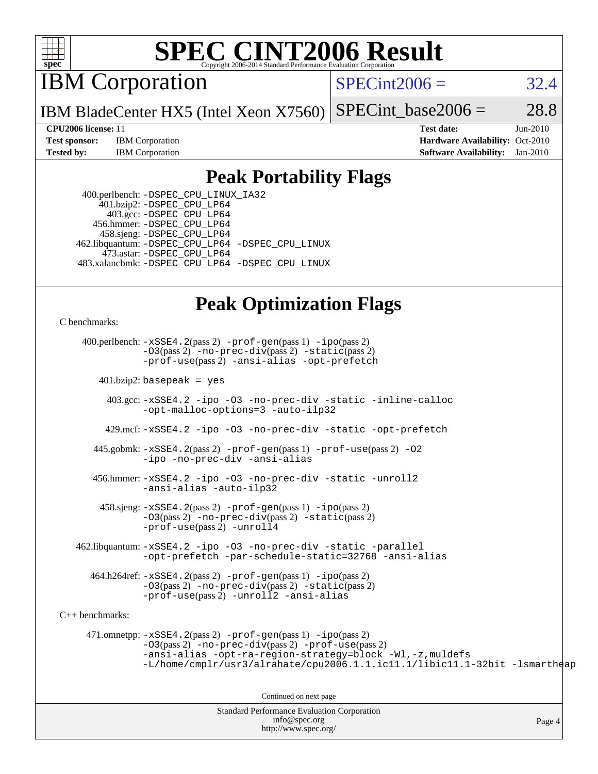

IBM Corporation

 $SPECint2006 = 32.4$  $SPECint2006 = 32.4$ 

IBM BladeCenter HX5 (Intel Xeon X7560) SPECint base2006 =  $28.8$ 

**[Test sponsor:](http://www.spec.org/auto/cpu2006/Docs/result-fields.html#Testsponsor)** IBM Corporation **[Hardware Availability:](http://www.spec.org/auto/cpu2006/Docs/result-fields.html#HardwareAvailability)** Oct-2010

**[CPU2006 license:](http://www.spec.org/auto/cpu2006/Docs/result-fields.html#CPU2006license)** 11 **[Test date:](http://www.spec.org/auto/cpu2006/Docs/result-fields.html#Testdate)** Jun-2010 **[Tested by:](http://www.spec.org/auto/cpu2006/Docs/result-fields.html#Testedby)** IBM Corporation **[Software Availability:](http://www.spec.org/auto/cpu2006/Docs/result-fields.html#SoftwareAvailability)** Jan-2010

#### **[Peak Portability Flags](http://www.spec.org/auto/cpu2006/Docs/result-fields.html#PeakPortabilityFlags)**

 400.perlbench: [-DSPEC\\_CPU\\_LINUX\\_IA32](http://www.spec.org/cpu2006/results/res2010q3/cpu2006-20100802-12782.flags.html#b400.perlbench_peakCPORTABILITY_DSPEC_CPU_LINUX_IA32)  $401.bzip2: -DSPEC\_CPU\_LP64$  403.gcc: [-DSPEC\\_CPU\\_LP64](http://www.spec.org/cpu2006/results/res2010q3/cpu2006-20100802-12782.flags.html#suite_peakPORTABILITY403_gcc_DSPEC_CPU_LP64) 456.hmmer: [-DSPEC\\_CPU\\_LP64](http://www.spec.org/cpu2006/results/res2010q3/cpu2006-20100802-12782.flags.html#suite_peakPORTABILITY456_hmmer_DSPEC_CPU_LP64) 458.sjeng: [-DSPEC\\_CPU\\_LP64](http://www.spec.org/cpu2006/results/res2010q3/cpu2006-20100802-12782.flags.html#suite_peakPORTABILITY458_sjeng_DSPEC_CPU_LP64) 462.libquantum: [-DSPEC\\_CPU\\_LP64](http://www.spec.org/cpu2006/results/res2010q3/cpu2006-20100802-12782.flags.html#suite_peakPORTABILITY462_libquantum_DSPEC_CPU_LP64) [-DSPEC\\_CPU\\_LINUX](http://www.spec.org/cpu2006/results/res2010q3/cpu2006-20100802-12782.flags.html#b462.libquantum_peakCPORTABILITY_DSPEC_CPU_LINUX) 473.astar: [-DSPEC\\_CPU\\_LP64](http://www.spec.org/cpu2006/results/res2010q3/cpu2006-20100802-12782.flags.html#suite_peakPORTABILITY473_astar_DSPEC_CPU_LP64) 483.xalancbmk: [-DSPEC\\_CPU\\_LP64](http://www.spec.org/cpu2006/results/res2010q3/cpu2006-20100802-12782.flags.html#suite_peakPORTABILITY483_xalancbmk_DSPEC_CPU_LP64) [-DSPEC\\_CPU\\_LINUX](http://www.spec.org/cpu2006/results/res2010q3/cpu2006-20100802-12782.flags.html#b483.xalancbmk_peakCXXPORTABILITY_DSPEC_CPU_LINUX)

## **[Peak Optimization Flags](http://www.spec.org/auto/cpu2006/Docs/result-fields.html#PeakOptimizationFlags)**

[C benchmarks](http://www.spec.org/auto/cpu2006/Docs/result-fields.html#Cbenchmarks):

 400.perlbench: [-xSSE4.2](http://www.spec.org/cpu2006/results/res2010q3/cpu2006-20100802-12782.flags.html#user_peakPASS2_CFLAGSPASS2_LDCFLAGS400_perlbench_f-xSSE42_f91528193cf0b216347adb8b939d4107)(pass 2) [-prof-gen](http://www.spec.org/cpu2006/results/res2010q3/cpu2006-20100802-12782.flags.html#user_peakPASS1_CFLAGSPASS1_LDCFLAGS400_perlbench_prof_gen_e43856698f6ca7b7e442dfd80e94a8fc)(pass 1) [-ipo](http://www.spec.org/cpu2006/results/res2010q3/cpu2006-20100802-12782.flags.html#user_peakPASS2_CFLAGSPASS2_LDCFLAGS400_perlbench_f-ipo)(pass 2) [-O3](http://www.spec.org/cpu2006/results/res2010q3/cpu2006-20100802-12782.flags.html#user_peakPASS2_CFLAGSPASS2_LDCFLAGS400_perlbench_f-O3)(pass 2) [-no-prec-div](http://www.spec.org/cpu2006/results/res2010q3/cpu2006-20100802-12782.flags.html#user_peakPASS2_CFLAGSPASS2_LDCFLAGS400_perlbench_f-no-prec-div)(pass 2) [-static](http://www.spec.org/cpu2006/results/res2010q3/cpu2006-20100802-12782.flags.html#user_peakPASS2_CFLAGSPASS2_LDCFLAGS400_perlbench_f-static)(pass 2) [-prof-use](http://www.spec.org/cpu2006/results/res2010q3/cpu2006-20100802-12782.flags.html#user_peakPASS2_CFLAGSPASS2_LDCFLAGS400_perlbench_prof_use_bccf7792157ff70d64e32fe3e1250b55)(pass 2) [-ansi-alias](http://www.spec.org/cpu2006/results/res2010q3/cpu2006-20100802-12782.flags.html#user_peakCOPTIMIZE400_perlbench_f-ansi-alias) [-opt-prefetch](http://www.spec.org/cpu2006/results/res2010q3/cpu2006-20100802-12782.flags.html#user_peakCOPTIMIZE400_perlbench_f-opt-prefetch)  $401.bzip2: basepeak = yes$  403.gcc: [-xSSE4.2](http://www.spec.org/cpu2006/results/res2010q3/cpu2006-20100802-12782.flags.html#user_peakCOPTIMIZE403_gcc_f-xSSE42_f91528193cf0b216347adb8b939d4107) [-ipo](http://www.spec.org/cpu2006/results/res2010q3/cpu2006-20100802-12782.flags.html#user_peakCOPTIMIZE403_gcc_f-ipo) [-O3](http://www.spec.org/cpu2006/results/res2010q3/cpu2006-20100802-12782.flags.html#user_peakCOPTIMIZE403_gcc_f-O3) [-no-prec-div](http://www.spec.org/cpu2006/results/res2010q3/cpu2006-20100802-12782.flags.html#user_peakCOPTIMIZE403_gcc_f-no-prec-div) [-static](http://www.spec.org/cpu2006/results/res2010q3/cpu2006-20100802-12782.flags.html#user_peakCOPTIMIZE403_gcc_f-static) [-inline-calloc](http://www.spec.org/cpu2006/results/res2010q3/cpu2006-20100802-12782.flags.html#user_peakCOPTIMIZE403_gcc_f-inline-calloc) [-opt-malloc-options=3](http://www.spec.org/cpu2006/results/res2010q3/cpu2006-20100802-12782.flags.html#user_peakCOPTIMIZE403_gcc_f-opt-malloc-options_13ab9b803cf986b4ee62f0a5998c2238) [-auto-ilp32](http://www.spec.org/cpu2006/results/res2010q3/cpu2006-20100802-12782.flags.html#user_peakCOPTIMIZE403_gcc_f-auto-ilp32) 429.mcf: [-xSSE4.2](http://www.spec.org/cpu2006/results/res2010q3/cpu2006-20100802-12782.flags.html#user_peakCOPTIMIZE429_mcf_f-xSSE42_f91528193cf0b216347adb8b939d4107) [-ipo](http://www.spec.org/cpu2006/results/res2010q3/cpu2006-20100802-12782.flags.html#user_peakCOPTIMIZE429_mcf_f-ipo) [-O3](http://www.spec.org/cpu2006/results/res2010q3/cpu2006-20100802-12782.flags.html#user_peakCOPTIMIZE429_mcf_f-O3) [-no-prec-div](http://www.spec.org/cpu2006/results/res2010q3/cpu2006-20100802-12782.flags.html#user_peakCOPTIMIZE429_mcf_f-no-prec-div) [-static](http://www.spec.org/cpu2006/results/res2010q3/cpu2006-20100802-12782.flags.html#user_peakCOPTIMIZE429_mcf_f-static) [-opt-prefetch](http://www.spec.org/cpu2006/results/res2010q3/cpu2006-20100802-12782.flags.html#user_peakCOPTIMIZE429_mcf_f-opt-prefetch)

 445.gobmk: [-xSSE4.2](http://www.spec.org/cpu2006/results/res2010q3/cpu2006-20100802-12782.flags.html#user_peakPASS2_CFLAGSPASS2_LDCFLAGS445_gobmk_f-xSSE42_f91528193cf0b216347adb8b939d4107)(pass 2) [-prof-gen](http://www.spec.org/cpu2006/results/res2010q3/cpu2006-20100802-12782.flags.html#user_peakPASS1_CFLAGSPASS1_LDCFLAGS445_gobmk_prof_gen_e43856698f6ca7b7e442dfd80e94a8fc)(pass 1) [-prof-use](http://www.spec.org/cpu2006/results/res2010q3/cpu2006-20100802-12782.flags.html#user_peakPASS2_CFLAGSPASS2_LDCFLAGS445_gobmk_prof_use_bccf7792157ff70d64e32fe3e1250b55)(pass 2) [-O2](http://www.spec.org/cpu2006/results/res2010q3/cpu2006-20100802-12782.flags.html#user_peakCOPTIMIZE445_gobmk_f-O2) [-ipo](http://www.spec.org/cpu2006/results/res2010q3/cpu2006-20100802-12782.flags.html#user_peakCOPTIMIZE445_gobmk_f-ipo) [-no-prec-div](http://www.spec.org/cpu2006/results/res2010q3/cpu2006-20100802-12782.flags.html#user_peakCOPTIMIZE445_gobmk_f-no-prec-div) [-ansi-alias](http://www.spec.org/cpu2006/results/res2010q3/cpu2006-20100802-12782.flags.html#user_peakCOPTIMIZE445_gobmk_f-ansi-alias)

 456.hmmer: [-xSSE4.2](http://www.spec.org/cpu2006/results/res2010q3/cpu2006-20100802-12782.flags.html#user_peakCOPTIMIZE456_hmmer_f-xSSE42_f91528193cf0b216347adb8b939d4107) [-ipo](http://www.spec.org/cpu2006/results/res2010q3/cpu2006-20100802-12782.flags.html#user_peakCOPTIMIZE456_hmmer_f-ipo) [-O3](http://www.spec.org/cpu2006/results/res2010q3/cpu2006-20100802-12782.flags.html#user_peakCOPTIMIZE456_hmmer_f-O3) [-no-prec-div](http://www.spec.org/cpu2006/results/res2010q3/cpu2006-20100802-12782.flags.html#user_peakCOPTIMIZE456_hmmer_f-no-prec-div) [-static](http://www.spec.org/cpu2006/results/res2010q3/cpu2006-20100802-12782.flags.html#user_peakCOPTIMIZE456_hmmer_f-static) [-unroll2](http://www.spec.org/cpu2006/results/res2010q3/cpu2006-20100802-12782.flags.html#user_peakCOPTIMIZE456_hmmer_f-unroll_784dae83bebfb236979b41d2422d7ec2) [-ansi-alias](http://www.spec.org/cpu2006/results/res2010q3/cpu2006-20100802-12782.flags.html#user_peakCOPTIMIZE456_hmmer_f-ansi-alias) [-auto-ilp32](http://www.spec.org/cpu2006/results/res2010q3/cpu2006-20100802-12782.flags.html#user_peakCOPTIMIZE456_hmmer_f-auto-ilp32)

 $458 \text{.}$  sjeng:  $-xSSE4$ .  $2(\text{pass 2})$  -prof-qen(pass 1) [-ipo](http://www.spec.org/cpu2006/results/res2010q3/cpu2006-20100802-12782.flags.html#user_peakPASS2_CFLAGSPASS2_LDCFLAGS458_sjeng_f-ipo)(pass 2) [-O3](http://www.spec.org/cpu2006/results/res2010q3/cpu2006-20100802-12782.flags.html#user_peakPASS2_CFLAGSPASS2_LDCFLAGS458_sjeng_f-O3)(pass 2) [-no-prec-div](http://www.spec.org/cpu2006/results/res2010q3/cpu2006-20100802-12782.flags.html#user_peakPASS2_CFLAGSPASS2_LDCFLAGS458_sjeng_f-no-prec-div)(pass 2) [-static](http://www.spec.org/cpu2006/results/res2010q3/cpu2006-20100802-12782.flags.html#user_peakPASS2_CFLAGSPASS2_LDCFLAGS458_sjeng_f-static)(pass 2) [-prof-use](http://www.spec.org/cpu2006/results/res2010q3/cpu2006-20100802-12782.flags.html#user_peakPASS2_CFLAGSPASS2_LDCFLAGS458_sjeng_prof_use_bccf7792157ff70d64e32fe3e1250b55)(pass 2) [-unroll4](http://www.spec.org/cpu2006/results/res2010q3/cpu2006-20100802-12782.flags.html#user_peakCOPTIMIZE458_sjeng_f-unroll_4e5e4ed65b7fd20bdcd365bec371b81f)

 462.libquantum: [-xSSE4.2](http://www.spec.org/cpu2006/results/res2010q3/cpu2006-20100802-12782.flags.html#user_peakCOPTIMIZE462_libquantum_f-xSSE42_f91528193cf0b216347adb8b939d4107) [-ipo](http://www.spec.org/cpu2006/results/res2010q3/cpu2006-20100802-12782.flags.html#user_peakCOPTIMIZE462_libquantum_f-ipo) [-O3](http://www.spec.org/cpu2006/results/res2010q3/cpu2006-20100802-12782.flags.html#user_peakCOPTIMIZE462_libquantum_f-O3) [-no-prec-div](http://www.spec.org/cpu2006/results/res2010q3/cpu2006-20100802-12782.flags.html#user_peakCOPTIMIZE462_libquantum_f-no-prec-div) [-static](http://www.spec.org/cpu2006/results/res2010q3/cpu2006-20100802-12782.flags.html#user_peakCOPTIMIZE462_libquantum_f-static) [-parallel](http://www.spec.org/cpu2006/results/res2010q3/cpu2006-20100802-12782.flags.html#user_peakCOPTIMIZE462_libquantum_f-parallel) [-opt-prefetch](http://www.spec.org/cpu2006/results/res2010q3/cpu2006-20100802-12782.flags.html#user_peakCOPTIMIZE462_libquantum_f-opt-prefetch) [-par-schedule-static=32768](http://www.spec.org/cpu2006/results/res2010q3/cpu2006-20100802-12782.flags.html#user_peakCOPTIMIZE462_libquantum_f-par-schedule_9386bcd99ba64e99ee01d1aafefddd14) [-ansi-alias](http://www.spec.org/cpu2006/results/res2010q3/cpu2006-20100802-12782.flags.html#user_peakCOPTIMIZE462_libquantum_f-ansi-alias)

 464.h264ref: [-xSSE4.2](http://www.spec.org/cpu2006/results/res2010q3/cpu2006-20100802-12782.flags.html#user_peakPASS2_CFLAGSPASS2_LDCFLAGS464_h264ref_f-xSSE42_f91528193cf0b216347adb8b939d4107)(pass 2) [-prof-gen](http://www.spec.org/cpu2006/results/res2010q3/cpu2006-20100802-12782.flags.html#user_peakPASS1_CFLAGSPASS1_LDCFLAGS464_h264ref_prof_gen_e43856698f6ca7b7e442dfd80e94a8fc)(pass 1) [-ipo](http://www.spec.org/cpu2006/results/res2010q3/cpu2006-20100802-12782.flags.html#user_peakPASS2_CFLAGSPASS2_LDCFLAGS464_h264ref_f-ipo)(pass 2) [-O3](http://www.spec.org/cpu2006/results/res2010q3/cpu2006-20100802-12782.flags.html#user_peakPASS2_CFLAGSPASS2_LDCFLAGS464_h264ref_f-O3)(pass 2) [-no-prec-div](http://www.spec.org/cpu2006/results/res2010q3/cpu2006-20100802-12782.flags.html#user_peakPASS2_CFLAGSPASS2_LDCFLAGS464_h264ref_f-no-prec-div)(pass 2) [-static](http://www.spec.org/cpu2006/results/res2010q3/cpu2006-20100802-12782.flags.html#user_peakPASS2_CFLAGSPASS2_LDCFLAGS464_h264ref_f-static)(pass 2) [-prof-use](http://www.spec.org/cpu2006/results/res2010q3/cpu2006-20100802-12782.flags.html#user_peakPASS2_CFLAGSPASS2_LDCFLAGS464_h264ref_prof_use_bccf7792157ff70d64e32fe3e1250b55)(pass 2) [-unroll2](http://www.spec.org/cpu2006/results/res2010q3/cpu2006-20100802-12782.flags.html#user_peakCOPTIMIZE464_h264ref_f-unroll_784dae83bebfb236979b41d2422d7ec2) [-ansi-alias](http://www.spec.org/cpu2006/results/res2010q3/cpu2006-20100802-12782.flags.html#user_peakCOPTIMIZE464_h264ref_f-ansi-alias)

[C++ benchmarks:](http://www.spec.org/auto/cpu2006/Docs/result-fields.html#CXXbenchmarks)

 471.omnetpp: [-xSSE4.2](http://www.spec.org/cpu2006/results/res2010q3/cpu2006-20100802-12782.flags.html#user_peakPASS2_CXXFLAGSPASS2_LDCXXFLAGS471_omnetpp_f-xSSE42_f91528193cf0b216347adb8b939d4107)(pass 2) [-prof-gen](http://www.spec.org/cpu2006/results/res2010q3/cpu2006-20100802-12782.flags.html#user_peakPASS1_CXXFLAGSPASS1_LDCXXFLAGS471_omnetpp_prof_gen_e43856698f6ca7b7e442dfd80e94a8fc)(pass 1) [-ipo](http://www.spec.org/cpu2006/results/res2010q3/cpu2006-20100802-12782.flags.html#user_peakPASS2_CXXFLAGSPASS2_LDCXXFLAGS471_omnetpp_f-ipo)(pass 2) [-O3](http://www.spec.org/cpu2006/results/res2010q3/cpu2006-20100802-12782.flags.html#user_peakPASS2_CXXFLAGSPASS2_LDCXXFLAGS471_omnetpp_f-O3)(pass 2) [-no-prec-div](http://www.spec.org/cpu2006/results/res2010q3/cpu2006-20100802-12782.flags.html#user_peakPASS2_CXXFLAGSPASS2_LDCXXFLAGS471_omnetpp_f-no-prec-div)(pass 2) [-prof-use](http://www.spec.org/cpu2006/results/res2010q3/cpu2006-20100802-12782.flags.html#user_peakPASS2_CXXFLAGSPASS2_LDCXXFLAGS471_omnetpp_prof_use_bccf7792157ff70d64e32fe3e1250b55)(pass 2) [-ansi-alias](http://www.spec.org/cpu2006/results/res2010q3/cpu2006-20100802-12782.flags.html#user_peakCXXOPTIMIZE471_omnetpp_f-ansi-alias) [-opt-ra-region-strategy=block](http://www.spec.org/cpu2006/results/res2010q3/cpu2006-20100802-12782.flags.html#user_peakCXXOPTIMIZE471_omnetpp_f-opt-ra-region-strategy-block_a0a37c372d03933b2a18d4af463c1f69) [-Wl,-z,muldefs](http://www.spec.org/cpu2006/results/res2010q3/cpu2006-20100802-12782.flags.html#user_peakEXTRA_LDFLAGS471_omnetpp_link_force_multiple1_74079c344b956b9658436fd1b6dd3a8a) [-L/home/cmplr/usr3/alrahate/cpu2006.1.1.ic11.1/libic11.1-32bit -lsmartheap](http://www.spec.org/cpu2006/results/res2010q3/cpu2006-20100802-12782.flags.html#user_peakEXTRA_LIBS471_omnetpp_SmartHeap_d86dffe4a79b79ef8890d5cce17030c3)

Continued on next page

Standard Performance Evaluation Corporation [info@spec.org](mailto:info@spec.org) <http://www.spec.org/>

Page 4